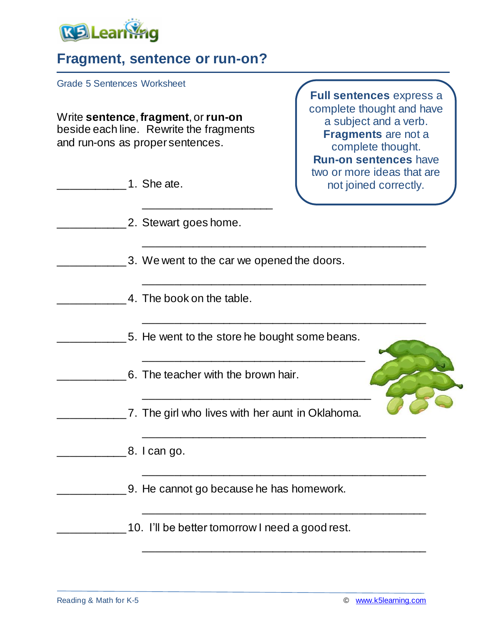

## **Fragment, sentence or run-on?**

Grade 5 Sentences Worksheet

Write **sentence**, **fragment**, or **run-on** beside each line. Rewrite the fragments and run-ons as proper sentences.

| 1. She ate.                                      | two or more ideas that are<br>not joined correctly. |
|--------------------------------------------------|-----------------------------------------------------|
| 2. Stewart goes home.                            |                                                     |
| 3. We went to the car we opened the doors.       |                                                     |
| 4. The book on the table.                        |                                                     |
| 5. He went to the store he bought some beans.    |                                                     |
| 6. The teacher with the brown hair.              |                                                     |
| 7. The girl who lives with her aunt in Oklahoma. |                                                     |
| 8. I can go.                                     |                                                     |
| 9. He cannot go because he has homework.         |                                                     |
| 10. I'll be better tomorrow I need a good rest.  |                                                     |
|                                                  |                                                     |

**Full sentences** express a complete thought and have a subject and a verb. **Fragments** are not a complete thought. **Run-on sentences** have